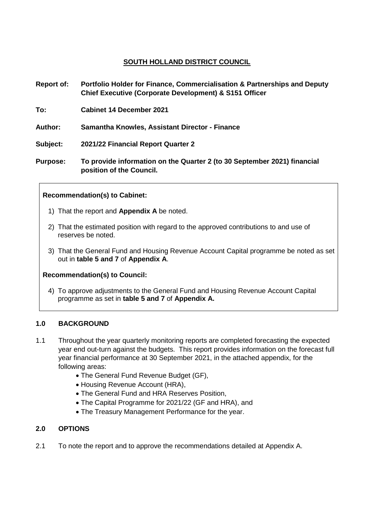# **SOUTH HOLLAND DISTRICT COUNCIL**

- **Report of: Portfolio Holder for Finance, Commercialisation & Partnerships and Deputy Chief Executive (Corporate Development) & S151 Officer**
- **To: Cabinet 14 December 2021**
- **Author: Samantha Knowles, Assistant Director - Finance**

**Subject: 2021/22 Financial Report Quarter 2**

**Purpose: To provide information on the Quarter 2 (to 30 September 2021) financial position of the Council.** 

## **Recommendation(s) to Cabinet:**

- 1) That the report and **Appendix A** be noted.
- 2) That the estimated position with regard to the approved contributions to and use of reserves be noted.
- 3) That the General Fund and Housing Revenue Account Capital programme be noted as set out in **table 5 and 7** of **Appendix A**.

### **Recommendation(s) to Council:**

4) To approve adjustments to the General Fund and Housing Revenue Account Capital programme as set in **table 5 and 7** of **Appendix A.**

### **1.0 BACKGROUND**

- 1.1 Throughout the year quarterly monitoring reports are completed forecasting the expected year end out-turn against the budgets. This report provides information on the forecast full year financial performance at 30 September 2021, in the attached appendix, for the following areas:
	- The General Fund Revenue Budget (GF),
	- Housing Revenue Account (HRA),
	- The General Fund and HRA Reserves Position,
	- The Capital Programme for 2021/22 (GF and HRA), and
	- The Treasury Management Performance for the year.

## **2.0 OPTIONS**

2.1 To note the report and to approve the recommendations detailed at Appendix A.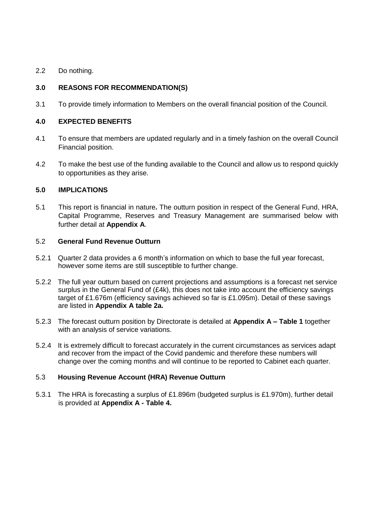2.2 Do nothing.

# **3.0 REASONS FOR RECOMMENDATION(S)**

3.1 To provide timely information to Members on the overall financial position of the Council.

## **4.0 EXPECTED BENEFITS**

- 4.1 To ensure that members are updated regularly and in a timely fashion on the overall Council Financial position.
- 4.2 To make the best use of the funding available to the Council and allow us to respond quickly to opportunities as they arise.

## **5.0 IMPLICATIONS**

5.1 This report is financial in nature**.** The outturn position in respect of the General Fund, HRA, Capital Programme, Reserves and Treasury Management are summarised below with further detail at **Appendix A**.

### 5.2 **General Fund Revenue Outturn**

- 5.2.1 Quarter 2 data provides a 6 month's information on which to base the full year forecast, however some items are still susceptible to further change.
- 5.2.2 The full year outturn based on current projections and assumptions is a forecast net service surplus in the General Fund of (£4k), this does not take into account the efficiency savings target of £1.676m (efficiency savings achieved so far is £1.095m). Detail of these savings are listed in **Appendix A table 2a.**
- 5.2.3 The forecast outturn position by Directorate is detailed at **Appendix A – Table 1** together with an analysis of service variations.
- 5.2.4 It is extremely difficult to forecast accurately in the current circumstances as services adapt and recover from the impact of the Covid pandemic and therefore these numbers will change over the coming months and will continue to be reported to Cabinet each quarter.

## 5.3 **Housing Revenue Account (HRA) Revenue Outturn**

5.3.1 The HRA is forecasting a surplus of £1.896m (budgeted surplus is £1.970m), further detail is provided at **Appendix A - Table 4.**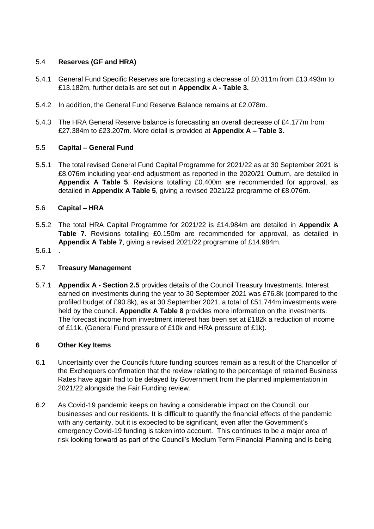## 5.4 **Reserves (GF and HRA)**

- 5.4.1 General Fund Specific Reserves are forecasting a decrease of £0.311m from £13.493m to £13.182m, further details are set out in **Appendix A - Table 3.**
- 5.4.2 In addition, the General Fund Reserve Balance remains at £2.078m.
- 5.4.3 The HRA General Reserve balance is forecasting an overall decrease of £4.177m from £27.384m to £23.207m. More detail is provided at **Appendix A – Table 3.**

## 5.5 **Capital – General Fund**

5.5.1 The total revised General Fund Capital Programme for 2021/22 as at 30 September 2021 is £8.076m including year-end adjustment as reported in the 2020/21 Outturn, are detailed in **Appendix A Table 5**. Revisions totalling £0.400m are recommended for approval, as detailed in **Appendix A Table 5**, giving a revised 2021/22 programme of £8.076m.

### 5.6 **Capital – HRA**

- 5.5.2 The total HRA Capital Programme for 2021/22 is £14.984m are detailed in **Appendix A Table 7**. Revisions totalling £0.150m are recommended for approval, as detailed in **Appendix A Table 7**, giving a revised 2021/22 programme of £14.984m.
- 5.6.1 .

### 5.7 **Treasury Management**

5.7.1 **Appendix A - Section 2.5** provides details of the Council Treasury Investments. Interest earned on investments during the year to 30 September 2021 was £76.8k (compared to the profiled budget of £90.8k), as at 30 September 2021, a total of £51.744m investments were held by the council. **Appendix A Table 8** provides more information on the investments. The forecast income from investment interest has been set at £182k a reduction of income of £11k, (General Fund pressure of £10k and HRA pressure of £1k).

### **6 Other Key Items**

- 6.1 Uncertainty over the Councils future funding sources remain as a result of the Chancellor of the Exchequers confirmation that the review relating to the percentage of retained Business Rates have again had to be delayed by Government from the planned implementation in 2021/22 alongside the Fair Funding review.
- 6.2 As Covid-19 pandemic keeps on having a considerable impact on the Council, our businesses and our residents. It is difficult to quantify the financial effects of the pandemic with any certainty, but it is expected to be significant, even after the Government's emergency Covid-19 funding is taken into account. This continues to be a major area of risk looking forward as part of the Council's Medium Term Financial Planning and is being